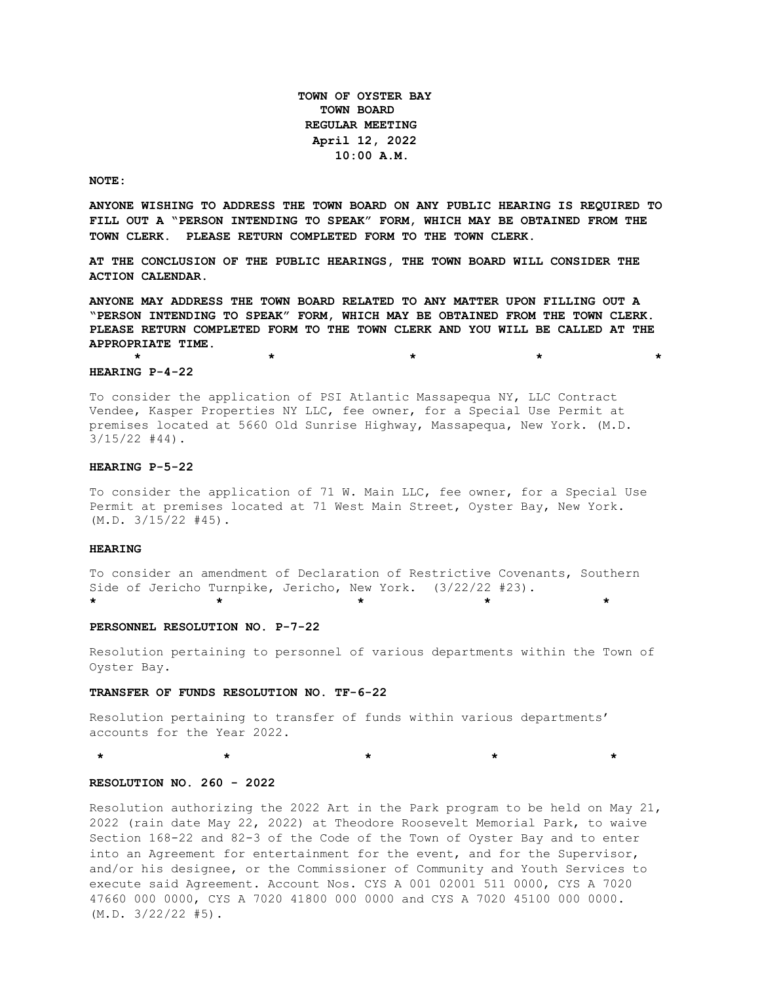**TOWN OF OYSTER BAY TOWN BOARD REGULAR MEETING April 12, 2022 10:00 A.M.** 

**NOTE:**

**ANYONE WISHING TO ADDRESS THE TOWN BOARD ON ANY PUBLIC HEARING IS REQUIRED TO FILL OUT A "PERSON INTENDING TO SPEAK" FORM, WHICH MAY BE OBTAINED FROM THE TOWN CLERK. PLEASE RETURN COMPLETED FORM TO THE TOWN CLERK.**

**AT THE CONCLUSION OF THE PUBLIC HEARINGS, THE TOWN BOARD WILL CONSIDER THE ACTION CALENDAR.**

**ANYONE MAY ADDRESS THE TOWN BOARD RELATED TO ANY MATTER UPON FILLING OUT A "PERSON INTENDING TO SPEAK" FORM, WHICH MAY BE OBTAINED FROM THE TOWN CLERK. PLEASE RETURN COMPLETED FORM TO THE TOWN CLERK AND YOU WILL BE CALLED AT THE APPROPRIATE TIME.**

**\* \* \* \* \***

### **HEARING P-4-22**

To consider the application of PSI Atlantic Massapequa NY, LLC Contract Vendee, Kasper Properties NY LLC, fee owner, for a Special Use Permit at premises located at 5660 Old Sunrise Highway, Massapequa, New York. (M.D. 3/15/22 #44).

#### **HEARING P-5-22**

To consider the application of 71 W. Main LLC, fee owner, for a Special Use Permit at premises located at 71 West Main Street, Oyster Bay, New York.  $(M.D. 3/15/22 #45)$ .

### **HEARING**

To consider an amendment of Declaration of Restrictive Covenants, Southern Side of Jericho Turnpike, Jericho, New York. (3/22/22 #23). **\* \* \* \* \*** 

#### **PERSONNEL RESOLUTION NO. P-7-22**

Resolution pertaining to personnel of various departments within the Town of Oyster Bay.

#### **TRANSFER OF FUNDS RESOLUTION NO. TF-6-22**

Resolution pertaining to transfer of funds within various departments' accounts for the Year 2022.

**\* \* \* \* \***

#### **RESOLUTION NO. 260 - 2022**

Resolution authorizing the 2022 Art in the Park program to be held on May 21, 2022 (rain date May 22, 2022) at Theodore Roosevelt Memorial Park, to waive Section 168-22 and 82-3 of the Code of the Town of Oyster Bay and to enter into an Agreement for entertainment for the event, and for the Supervisor, and/or his designee, or the Commissioner of Community and Youth Services to execute said Agreement. Account Nos. CYS A 001 02001 511 0000, CYS A 7020 47660 000 0000, CYS A 7020 41800 000 0000 and CYS A 7020 45100 000 0000.  $(M.D. 3/22/22 #5)$ .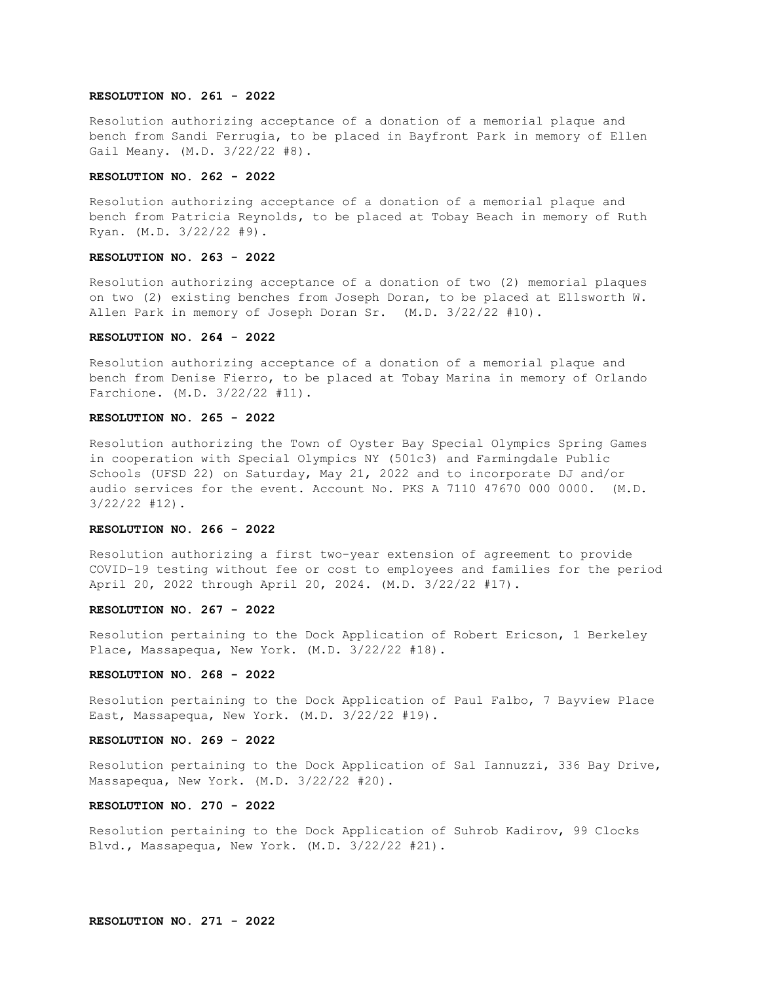### **RESOLUTION NO. 261 - 2022**

Resolution authorizing acceptance of a donation of a memorial plaque and bench from Sandi Ferrugia, to be placed in Bayfront Park in memory of Ellen Gail Meany. (M.D. 3/22/22 #8).

### **RESOLUTION NO. 262 - 2022**

Resolution authorizing acceptance of a donation of a memorial plaque and bench from Patricia Reynolds, to be placed at Tobay Beach in memory of Ruth Ryan. (M.D. 3/22/22 #9).

### **RESOLUTION NO. 263 - 2022**

Resolution authorizing acceptance of a donation of two (2) memorial plaques on two (2) existing benches from Joseph Doran, to be placed at Ellsworth W. Allen Park in memory of Joseph Doran Sr. (M.D. 3/22/22 #10).

### **RESOLUTION NO. 264 - 2022**

Resolution authorizing acceptance of a donation of a memorial plaque and bench from Denise Fierro, to be placed at Tobay Marina in memory of Orlando Farchione. (M.D. 3/22/22 #11).

# **RESOLUTION NO. 265 - 2022**

Resolution authorizing the Town of Oyster Bay Special Olympics Spring Games in cooperation with Special Olympics NY (501c3) and Farmingdale Public Schools (UFSD 22) on Saturday, May 21, 2022 and to incorporate DJ and/or audio services for the event. Account No. PKS A 7110 47670 000 0000. (M.D. 3/22/22 #12).

#### **RESOLUTION NO. 266 - 2022**

Resolution authorizing a first two-year extension of agreement to provide COVID-19 testing without fee or cost to employees and families for the period April 20, 2022 through April 20, 2024. (M.D. 3/22/22 #17).

## **RESOLUTION NO. 267 - 2022**

Resolution pertaining to the Dock Application of Robert Ericson, 1 Berkeley Place, Massapequa, New York. (M.D. 3/22/22 #18).

### **RESOLUTION NO. 268 - 2022**

Resolution pertaining to the Dock Application of Paul Falbo, 7 Bayview Place East, Massapequa, New York. (M.D. 3/22/22 #19).

### **RESOLUTION NO. 269 - 2022**

Resolution pertaining to the Dock Application of Sal Iannuzzi, 336 Bay Drive, Massapequa, New York. (M.D. 3/22/22 #20).

### **RESOLUTION NO. 270 - 2022**

Resolution pertaining to the Dock Application of Suhrob Kadirov, 99 Clocks Blvd., Massapequa, New York. (M.D. 3/22/22 #21).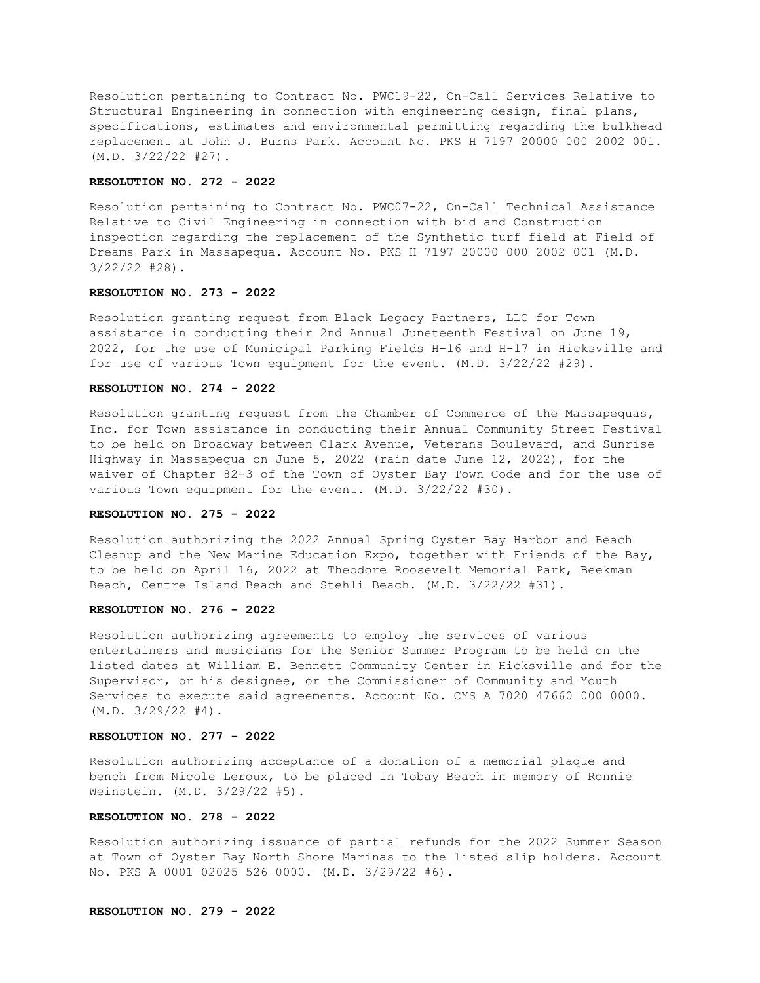Resolution pertaining to Contract No. PWC19-22, On-Call Services Relative to Structural Engineering in connection with engineering design, final plans, specifications, estimates and environmental permitting regarding the bulkhead replacement at John J. Burns Park. Account No. PKS H 7197 20000 000 2002 001. (M.D. 3/22/22 #27).

### **RESOLUTION NO. 272 - 2022**

Resolution pertaining to Contract No. PWC07-22, On-Call Technical Assistance Relative to Civil Engineering in connection with bid and Construction inspection regarding the replacement of the Synthetic turf field at Field of Dreams Park in Massapequa. Account No. PKS H 7197 20000 000 2002 001 (M.D. 3/22/22 #28).

## **RESOLUTION NO. 273 - 2022**

Resolution granting request from Black Legacy Partners, LLC for Town assistance in conducting their 2nd Annual Juneteenth Festival on June 19, 2022, for the use of Municipal Parking Fields H-16 and H-17 in Hicksville and for use of various Town equipment for the event. (M.D. 3/22/22 #29).

# **RESOLUTION NO. 274 - 2022**

Resolution granting request from the Chamber of Commerce of the Massapequas, Inc. for Town assistance in conducting their Annual Community Street Festival to be held on Broadway between Clark Avenue, Veterans Boulevard, and Sunrise Highway in Massapequa on June 5, 2022 (rain date June 12, 2022), for the waiver of Chapter 82-3 of the Town of Oyster Bay Town Code and for the use of various Town equipment for the event. (M.D. 3/22/22 #30).

### **RESOLUTION NO. 275 - 2022**

Resolution authorizing the 2022 Annual Spring Oyster Bay Harbor and Beach Cleanup and the New Marine Education Expo, together with Friends of the Bay, to be held on April 16, 2022 at Theodore Roosevelt Memorial Park, Beekman Beach, Centre Island Beach and Stehli Beach. (M.D. 3/22/22 #31).

## **RESOLUTION NO. 276 - 2022**

Resolution authorizing agreements to employ the services of various entertainers and musicians for the Senior Summer Program to be held on the listed dates at William E. Bennett Community Center in Hicksville and for the Supervisor, or his designee, or the Commissioner of Community and Youth Services to execute said agreements. Account No. CYS A 7020 47660 000 0000.  $(M.D. 3/29/22 #4).$ 

# **RESOLUTION NO. 277 - 2022**

Resolution authorizing acceptance of a donation of a memorial plaque and bench from Nicole Leroux, to be placed in Tobay Beach in memory of Ronnie Weinstein. (M.D. 3/29/22 #5).

### **RESOLUTION NO. 278 - 2022**

Resolution authorizing issuance of partial refunds for the 2022 Summer Season at Town of Oyster Bay North Shore Marinas to the listed slip holders. Account No. PKS A 0001 02025 526 0000. (M.D. 3/29/22 #6).

### **RESOLUTION NO. 279 - 2022**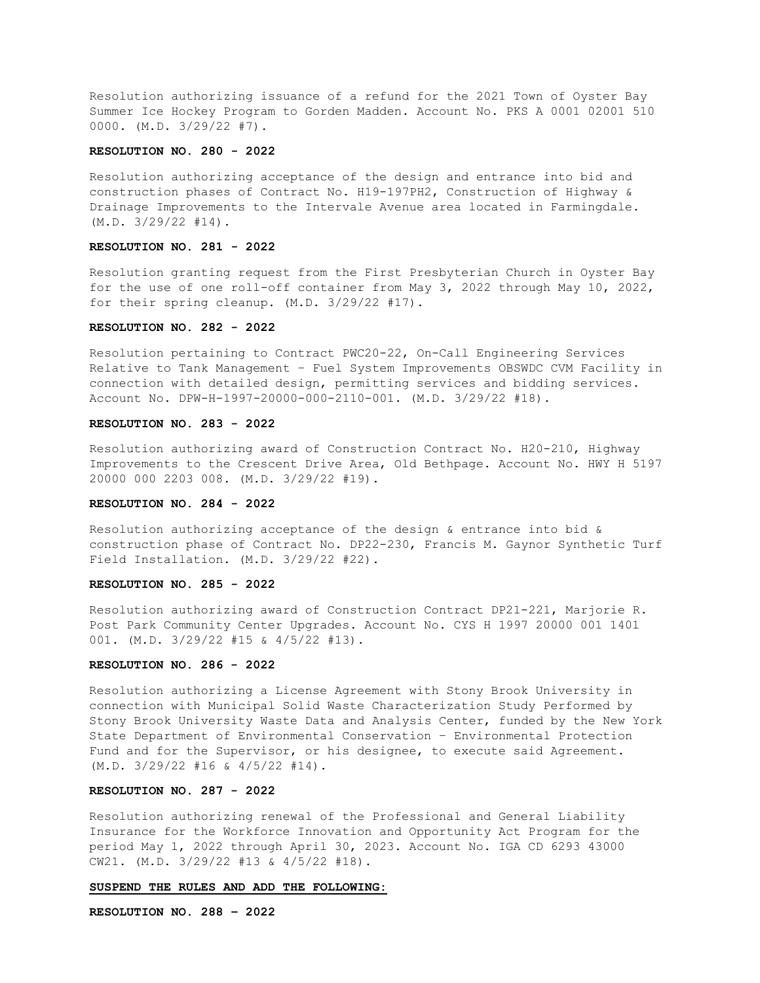Resolution authorizing issuance of a refund for the 2021 Town of Oyster Bay Summer Ice Hockey Program to Gorden Madden. Account No. PKS A 0001 02001 510 0000. (M.D. 3/29/22 #7).

# **RESOLUTION NO. 280 - 2022**

Resolution authorizing acceptance of the design and entrance into bid and construction phases of Contract No. H19-197PH2, Construction of Highway & Drainage Improvements to the Intervale Avenue area located in Farmingdale. (M.D. 3/29/22 #14).

# **RESOLUTION NO. 281 - 2022**

Resolution granting request from the First Presbyterian Church in Oyster Bay for the use of one roll-off container from May 3, 2022 through May 10, 2022, for their spring cleanup. (M.D. 3/29/22 #17).

## **RESOLUTION NO. 282 - 2022**

Resolution pertaining to Contract PWC20-22, On-Call Engineering Services Relative to Tank Management – Fuel System Improvements OBSWDC CVM Facility in connection with detailed design, permitting services and bidding services. Account No. DPW-H-1997-20000-000-2110-001. (M.D. 3/29/22 #18).

# **RESOLUTION NO. 283 - 2022**

Resolution authorizing award of Construction Contract No. H20-210, Highway Improvements to the Crescent Drive Area, Old Bethpage. Account No. HWY H 5197 20000 000 2203 008. (M.D. 3/29/22 #19).

### **RESOLUTION NO. 284 - 2022**

Resolution authorizing acceptance of the design  $\&$  entrance into bid  $\&$ construction phase of Contract No. DP22-230, Francis M. Gaynor Synthetic Turf Field Installation. (M.D. 3/29/22 #22).

# **RESOLUTION NO. 285 - 2022**

Resolution authorizing award of Construction Contract DP21-221, Marjorie R. Post Park Community Center Upgrades. Account No. CYS H 1997 20000 001 1401 001. (M.D. 3/29/22 #15 & 4/5/22 #13).

#### **RESOLUTION NO. 286 - 2022**

Resolution authorizing a License Agreement with Stony Brook University in connection with Municipal Solid Waste Characterization Study Performed by Stony Brook University Waste Data and Analysis Center, funded by the New York State Department of Environmental Conservation – Environmental Protection Fund and for the Supervisor, or his designee, to execute said Agreement. (M.D. 3/29/22 #16 & 4/5/22 #14).

# **RESOLUTION NO. 287 - 2022**

Resolution authorizing renewal of the Professional and General Liability Insurance for the Workforce Innovation and Opportunity Act Program for the period May 1, 2022 through April 30, 2023. Account No. IGA CD 6293 43000 CW21. (M.D. 3/29/22 #13 & 4/5/22 #18).

## **SUSPEND THE RULES AND ADD THE FOLLOWING:**

**RESOLUTION NO. 288 – 2022**